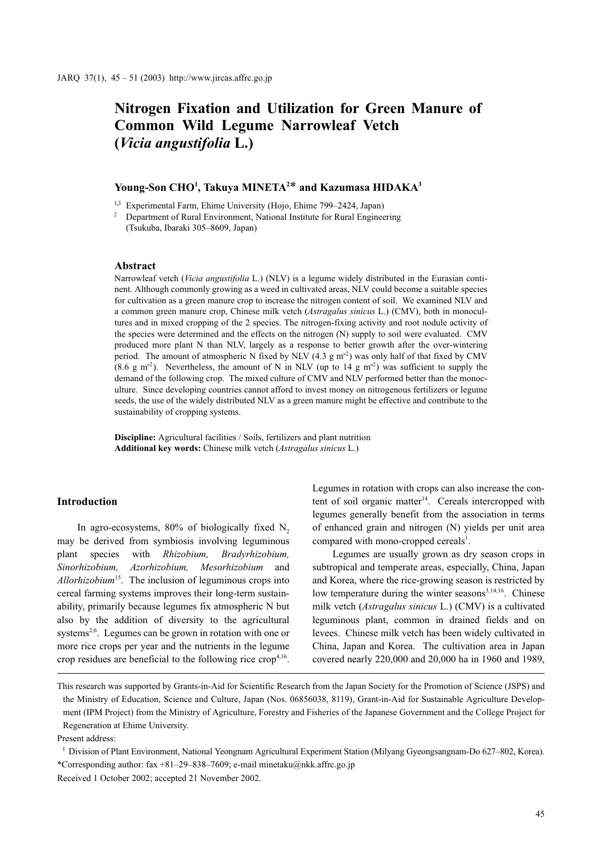# Nitrogen Fixation and Utilization for Green Manure of Common Wild Legume Narrowleaf Vetch (Vicia angustifolia L.)

# Young-Son CHO<sup>1</sup>, Takuya MINETA<sup>2\*</sup> and Kazumasa HIDAKA<sup>3</sup>

<sup>1,3</sup> Experimental Farm, Ehime University (Hojo, Ehime 799–2424, Japan)

 $2$  Department of Rural Environment, National Institute for Rural Engineering (Tsukuba, Ibaraki 305–8609, Japan)

#### Abstract

Narrowleaf vetch (Vicia angustifolia L.) (NLV) is a legume widely distributed in the Eurasian continent. Although commonly growing as a weed in cultivated areas, NLV could become a suitable species for cultivation as a green manure crop to increase the nitrogen content of soil. We examined NLV and a common green manure crop, Chinese milk vetch (Astragalus sinicus L.) (CMV), both in monocultures and in mixed cropping of the 2 species. The nitrogen-fixing activity and root nodule activity of the species were determined and the effects on the nitrogen (N) supply to soil were evaluated. CMV produced more plant N than NLV, largely as a response to better growth after the over-wintering period. The amount of atmospheric N fixed by NLV (4.3  $\mu$  m<sup>-2</sup>) was only half of that fixed by CMV (8.6 g m<sup>-2</sup>). Nevertheless, the amount of N in NLV (up to 14 g m<sup>-2</sup>) was sufficient to supply the demand of the following crop. The mixed culture of CMV and NLV performed better than the monoculture. Since developing countries cannot afford to invest money on nitrogenous fertilizers or legume seeds, the use of the widely distributed NLV as a green manure might be effective and contribute to the sustainability of cropping systems.

Discipline: Agricultural facilities / Soils, fertilizers and plant nutrition Additional key words: Chinese milk vetch (Astragalus sinicus L.)

## Introduction

In agro-ecosystems,  $80\%$  of biologically fixed N<sub>2</sub> may be derived from symbiosis involving leguminous plant species with Rhizobium, Bradyrhizobium, Sinorhizobium, Azorhizobium, Mesorhizobium and Allorhizobium<sup>15</sup>. The inclusion of leguminous crops into cereal farming systems improves their long-term sustainability, primarily because legumes fix atmospheric N but also by the addition of diversity to the agricultural systems<sup>2,6</sup>. Legumes can be grown in rotation with one or more rice crops per year and the nutrients in the legume crop residues are beneficial to the following rice  $\text{crop}^{4,16}$ . Legumes in rotation with crops can also increase the content of soil organic matter<sup>14</sup>. Cereals intercropped with legumes generally benefit from the association in terms of enhanced grain and nitrogen (N) yields per unit area compared with mono-cropped cereals<sup>1</sup>.

Legumes are usually grown as dry season crops in subtropical and temperate areas, especially, China, Japan and Korea, where the rice-growing season is restricted by low temperature during the winter seasons $3,14,16$ . Chinese milk vetch (Astragalus sinicus L.) (CMV) is a cultivated leguminous plant, common in drained fields and on levees. Chinese milk vetch has been widely cultivated in China, Japan and Korea. The cultivation area in Japan covered nearly 220,000 and 20,000 ha in 1960 and 1989,

This research was supported by Grants-in-Aid for Scientific Research from the Japan Society for the Promotion of Science (JSPS) and the Ministry of Education, Science and Culture, Japan (Nos. 06856038, 8119), Grant-in-Aid for Sustainable Agriculture Development (IPM Project) from the Ministry of Agriculture, Forestry and Fisheries of the Japanese Government and the College Project for Regeneration at Ehime University.

Present address:

<sup>&</sup>lt;sup>1</sup> Division of Plant Environment, National Yeongnam Agricultural Experiment Station (Milyang Gyeongsangnam-Do 627–802, Korea). \*Corresponding author: fax +81–29–838–7609; e-mail minetaku@nkk.affrc.go.jp

Received 1 October 2002; accepted 21 November 2002.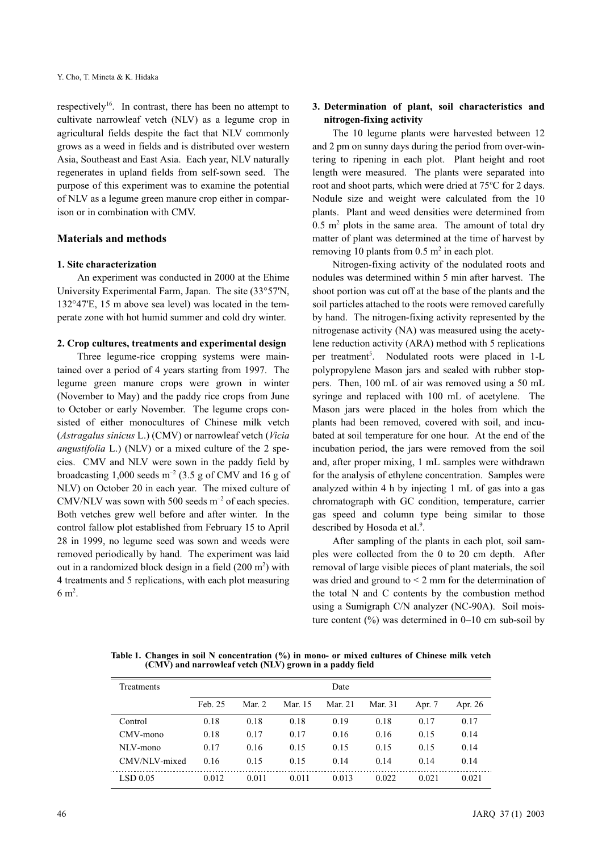respectively<sup>16</sup>. In contrast, there has been no attempt to cultivate narrowleaf vetch (NLV) as a legume crop in agricultural fields despite the fact that NLV commonly grows as a weed in fields and is distributed over western Asia, Southeast and East Asia. Each year, NLV naturally regenerates in upland fields from self-sown seed. The purpose of this experiment was to examine the potential of NLV as a legume green manure crop either in comparison or in combination with CMV.

## Materials and methods

## 1. Site characterization

An experiment was conducted in 2000 at the Ehime University Experimental Farm, Japan. The site (33°57'N, 132°47'E, 15 m above sea level) was located in the temperate zone with hot humid summer and cold dry winter.

## 2. Crop cultures, treatments and experimental design

Three legume-rice cropping systems were maintained over a period of 4 years starting from 1997. The legume green manure crops were grown in winter (November to May) and the paddy rice crops from June to October or early November. The legume crops consisted of either monocultures of Chinese milk vetch (Astragalus sinicus L.) (CMV) or narrowleaf vetch (Vicia angustifolia L.) (NLV) or a mixed culture of the 2 species. CMV and NLV were sown in the paddy field by broadcasting 1,000 seeds  $m^{-2}$  (3.5 g of CMV and 16 g of NLV) on October 20 in each year. The mixed culture of CMV/NLV was sown with 500 seeds  $m^{-2}$  of each species. Both vetches grew well before and after winter. In the control fallow plot established from February 15 to April 28 in 1999, no legume seed was sown and weeds were removed periodically by hand. The experiment was laid out in a randomized block design in a field  $(200 \text{ m}^2)$  with 4 treatments and 5 replications, with each plot measuring  $6 \text{ m}^2$ .

# 3. Determination of plant, soil characteristics and nitrogen-fixing activity

The 10 legume plants were harvested between 12 and 2 pm on sunny days during the period from over-wintering to ripening in each plot. Plant height and root length were measured. The plants were separated into root and shoot parts, which were dried at 75°C for 2 days. Nodule size and weight were calculated from the 10 plants. Plant and weed densities were determined from  $0.5$  m<sup>2</sup> plots in the same area. The amount of total dry matter of plant was determined at the time of harvest by removing 10 plants from  $0.5 \text{ m}^2$  in each plot.

Nitrogen-fixing activity of the nodulated roots and nodules was determined within 5 min after harvest. The shoot portion was cut off at the base of the plants and the soil particles attached to the roots were removed carefully by hand. The nitrogen-fixing activity represented by the nitrogenase activity (NA) was measured using the acetylene reduction activity (ARA) method with 5 replications per treatment<sup>5</sup>. Nodulated roots were placed in 1-L polypropylene Mason jars and sealed with rubber stoppers. Then, 100 mL of air was removed using a 50 mL syringe and replaced with 100 mL of acetylene. The Mason jars were placed in the holes from which the plants had been removed, covered with soil, and incubated at soil temperature for one hour. At the end of the incubation period, the jars were removed from the soil and, after proper mixing, 1 mL samples were withdrawn for the analysis of ethylene concentration. Samples were analyzed within 4 h by injecting 1 mL of gas into a gas chromatograph with GC condition, temperature, carrier gas speed and column type being similar to those described by Hosoda et al.<sup>9</sup>.

After sampling of the plants in each plot, soil samples were collected from the 0 to 20 cm depth. After removal of large visible pieces of plant materials, the soil was dried and ground to < 2 mm for the determination of the total N and C contents by the combustion method using a Sumigraph C/N analyzer (NC-90A). Soil moisture content  $\left(\frac{9}{0}\right)$  was determined in 0–10 cm sub-soil by

Table 1. Changes in soil N concentration (%) in mono- or mixed cultures of Chinese milk vetch  $(CM\tilde{V})$  and narrowleaf vetch  $(NL\tilde{V})$  grown in a paddy field

| Treatments             | Date    |        |         |         |         |        |         |  |  |  |  |
|------------------------|---------|--------|---------|---------|---------|--------|---------|--|--|--|--|
|                        | Feb. 25 | Mar. 2 | Mar. 15 | Mar. 21 | Mar. 31 | Apr. 7 | Apr. 26 |  |  |  |  |
| Control                | 0.18    | 0.18   | 0.18    | 0.19    | 0.18    | 0.17   | 0.17    |  |  |  |  |
| CMV-mono               | 0.18    | 0.17   | 0.17    | 0.16    | 0.16    | 0.15   | 0.14    |  |  |  |  |
| $NL$ $NL$ $m$ $on$ $o$ | 0.17    | 0.16   | 0.15    | 0.15    | 0.15    | 0.15   | 0.14    |  |  |  |  |
| CMV/NLV-mixed          | 0.16    | 0.15   | 0.15    | 0.14    | 0.14    | 0.14   | 0.14    |  |  |  |  |
| LSD 0.05               | 0.012   | 0.011  | 0.011   | 0.013   | 0.022   | 0.021  | 0.021   |  |  |  |  |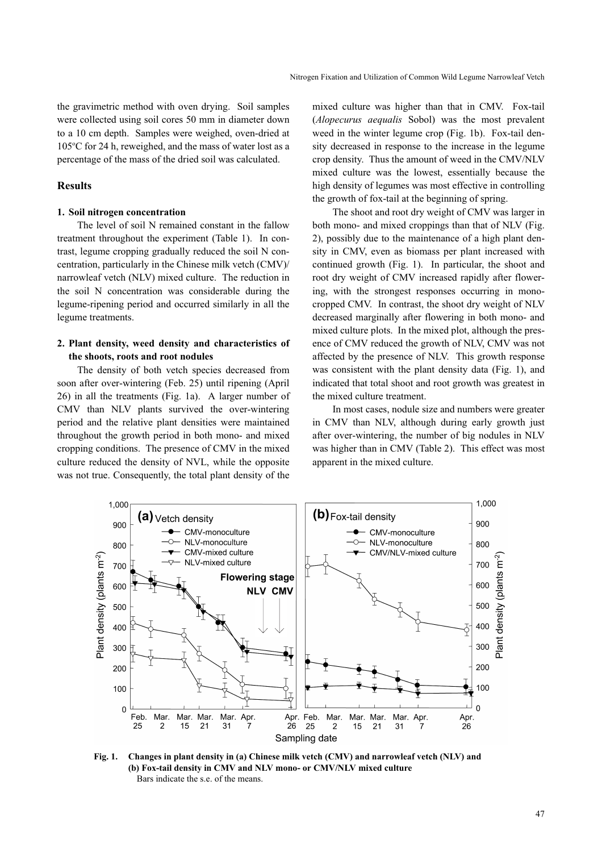the gravimetric method with oven drying. Soil samples were collected using soil cores 50 mm in diameter down to a 10 cm depth. Samples were weighed, oven-dried at 105°C for 24 h, reweighed, and the mass of water lost as a percentage of the mass of the dried soil was calculated.

## Results

#### 1. Soil nitrogen concentration

The level of soil N remained constant in the fallow treatment throughout the experiment (Table 1). In contrast, legume cropping gradually reduced the soil N concentration, particularly in the Chinese milk vetch (CMV)/ narrowleaf vetch (NLV) mixed culture. The reduction in the soil N concentration was considerable during the legume-ripening period and occurred similarly in all the legume treatments.

## 2. Plant density, weed density and characteristics of the shoots, roots and root nodules

The density of both vetch species decreased from soon after over-wintering (Feb. 25) until ripening (April 26) in all the treatments (Fig. 1a). A larger number of CMV than NLV plants survived the over-wintering period and the relative plant densities were maintained throughout the growth period in both mono- and mixed cropping conditions. The presence of CMV in the mixed culture reduced the density of NVL, while the opposite was not true. Consequently, the total plant density of the mixed culture was higher than that in CMV. Fox-tail (Alopecurus aequalis Sobol) was the most prevalent weed in the winter legume crop (Fig. 1b). Fox-tail density decreased in response to the increase in the legume crop density. Thus the amount of weed in the CMV/NLV mixed culture was the lowest, essentially because the high density of legumes was most effective in controlling the growth of fox-tail at the beginning of spring.

The shoot and root dry weight of CMV was larger in both mono- and mixed croppings than that of NLV (Fig. 2), possibly due to the maintenance of a high plant density in CMV, even as biomass per plant increased with continued growth (Fig. 1). In particular, the shoot and root dry weight of CMV increased rapidly after flowering, with the strongest responses occurring in monocropped CMV. In contrast, the shoot dry weight of NLV decreased marginally after flowering in both mono- and mixed culture plots. In the mixed plot, although the presence of CMV reduced the growth of NLV, CMV was not affected by the presence of NLV. This growth response was consistent with the plant density data (Fig. 1), and indicated that total shoot and root growth was greatest in the mixed culture treatment.

In most cases, nodule size and numbers were greater in CMV than NLV, although during early growth just after over-wintering, the number of big nodules in NLV was higher than in CMV (Table 2). This effect was most apparent in the mixed culture.



Fig. 1. Changes in plant density in (a) Chinese milk vetch (CMV) and narrowleaf vetch (NLV) and (b) Fox-tail density in CMV and NLV mono- or CMV/NLV mixed culture Bars indicate the s.e. of the means.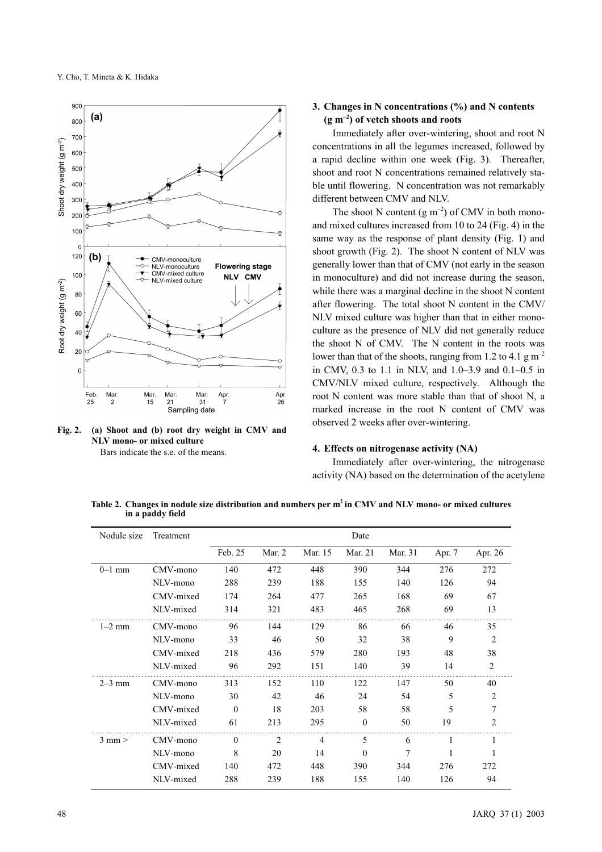

Fig. 2. (a) Shoot and (b) root dry weight in CMV and NLV mono- or mixed culture Bars indicate the s.e. of the means.

# 3. Changes in N concentrations (%) and N contents  $(g m<sup>-2</sup>)$  of vetch shoots and roots

Immediately after over-wintering, shoot and root N concentrations in all the legumes increased, followed by a rapid decline within one week (Fig. 3). Thereafter, shoot and root N concentrations remained relatively stable until flowering. N concentration was not remarkably different between CMV and NLV.

The shoot N content  $(g m^{-2})$  of CMV in both monoand mixed cultures increased from 10 to 24 (Fig. 4) in the same way as the response of plant density (Fig. 1) and shoot growth (Fig. 2). The shoot N content of NLV was generally lower than that of CMV (not early in the season in monoculture) and did not increase during the season, while there was a marginal decline in the shoot N content after flowering. The total shoot N content in the CMV/ NLV mixed culture was higher than that in either monoculture as the presence of NLV did not generally reduce the shoot N of CMV. The N content in the roots was lower than that of the shoots, ranging from 1.2 to 4.1 g  $m^{-2}$ in CMV, 0.3 to 1.1 in NLV, and 1.0–3.9 and 0.1–0.5 in CMV/NLV mixed culture, respectively. Although the root N content was more stable than that of shoot N, a marked increase in the root N content of CMV was observed 2 weeks after over-wintering.

#### 4. Effects on nitrogenase activity (NA)

Immediately after over-wintering, the nitrogenase activity (NA) based on the determination of the acetylene

Table 2. Changes in nodule size distribution and numbers per m<sup>2</sup> in CMV and NLV mono- or mixed cultures in a paddy field

| Nodule size | Treatment | Date     |                |                |          |         |        |         |  |
|-------------|-----------|----------|----------------|----------------|----------|---------|--------|---------|--|
|             |           | Feb. 25  | Mar. 2         | Mar. 15        | Mar. 21  | Mar. 31 | Apr. 7 | Apr. 26 |  |
| $0-1$ mm    | CMV-mono  | 140      | 472            | 448            | 390      | 344     | 276    | 272     |  |
|             | NLV-mono  | 288      | 239            | 188            | 155      | 140     | 126    | 94      |  |
|             | CMV-mixed | 174      | 264            | 477            | 265      | 168     | 69     | 67      |  |
|             | NLV-mixed | 314      | 321            | 483            | 465      | 268     | 69     | 13      |  |
| $1-2$ mm    | CMV-mono  | 96       | 144            | 129            | 86       | 66      | 46     | 35      |  |
|             | NLV-mono  | 33       | 46             | 50             | 32       | 38      | 9      | 2       |  |
|             | CMV-mixed | 218      | 436            | 579            | 280      | 193     | 48     | 38      |  |
|             | NLV-mixed | 96       | 292            | 151            | 140      | 39      | 14     | 2       |  |
| $2-3$ mm    | CMV-mono  | 313      | 152            | 110            | 122      | 147     | 50     | 40      |  |
|             | NLV-mono  | 30       | 42             | 46             | 24       | 54      | 5      | 2       |  |
|             | CMV-mixed | $\Omega$ | 18             | 203            | 58       | 58      | 5      | 7       |  |
|             | NLV-mixed | 61       | 213            | 295            | $\theta$ | 50      | 19     | 2       |  |
| $3$ mm $>$  | CMV-mono  | $\Omega$ | $\overline{2}$ | $\overline{4}$ | 5        | 6       |        |         |  |
|             | NLV-mono  | 8        | 20             | 14             | $\theta$ | 7       |        | 1       |  |
|             | CMV-mixed | 140      | 472            | 448            | 390      | 344     | 276    | 272     |  |
|             | NLV-mixed | 288      | 239            | 188            | 155      | 140     | 126    | 94      |  |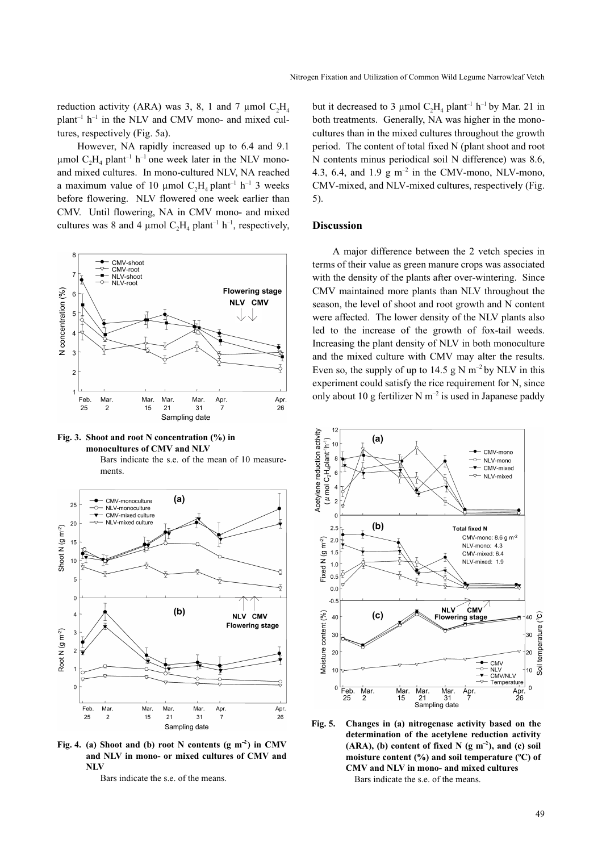reduction activity (ARA) was 3, 8, 1 and 7 µmol  $C_2H_4$  $plant^{-1}$   $h^{-1}$  in the NLV and CMV mono- and mixed cultures, respectively (Fig. 5a).

However, NA rapidly increased up to 6.4 and 9.1 µmol  $C_2H_4$  plant<sup>-1</sup> h<sup>-1</sup> one week later in the NLV monoand mixed cultures. In mono-cultured NLV, NA reached a maximum value of 10 µmol  $C_2H_4$  plant<sup>-1</sup> h<sup>-1</sup> 3 weeks before flowering. NLV flowered one week earlier than CMV. Until flowering, NA in CMV mono- and mixed cultures was 8 and 4 µmol  $C_2H_4$  plant<sup>-1</sup> h<sup>-1</sup>, respectively,



Fig. 3. Shoot and root N concentration (%) in monocultures of CMV and NLV

Bars indicate the s.e. of the mean of 10 measurements.



Fig. 4. (a) Shoot and (b) root N contents (g m<sup>-2</sup>) in CMV<br>and NLV in mono- or mixed cultures of CMV and<br>NLV and NLV in mono- or mixed cultures of CMV and **NLV** 

Bars indicate the s.e. of the means.

but it decreased to 3 µmol  $C_2H_4$  plant<sup>-1</sup> h<sup>-1</sup> by Mar. 21 in both treatments. Generally, NA was higher in the monocultures than in the mixed cultures throughout the growth period. The content of total fixed N (plant shoot and root N contents minus periodical soil N difference) was 8.6, 4.3, 6.4, and 1.9  $g \text{ m}^{-2}$  in the CMV-mono, NLV-mono, CMV-mixed, and NLV-mixed cultures, respectively (Fig. 5).

## Discussion

A major difference between the 2 vetch species in terms of their value as green manure crops was associated with the density of the plants after over-wintering. Since CMV maintained more plants than NLV throughout the season, the level of shoot and root growth and N content were affected. The lower density of the NLV plants also led to the increase of the growth of fox-tail weeds. Increasing the plant density of NLV in both monoculture and the mixed culture with CMV may alter the results. Even so, the supply of up to 14.5 g N  $m^{-2}$  by NLV in this experiment could satisfy the rice requirement for N, since only about 10 g fertilizer N  $m^{-2}$  is used in Japanese paddy



Fig. 5. Changes in (a) nitrogenase activity based on the determination of the acetylene reduction activity (ARA), (b) content of fixed N (g m<sup>-2</sup> moisture content (%) and soil tempe<br>CMV and NLV in mono- and mixed of  $(ARA), (b)$  content of fixed N  $(g m<sup>-2</sup>)$ , and  $(c)$  soil moisture content (%) and soil temperature (ºC) of CMV and NLV in mono- and mixed cultures Bars indicate the s.e. of the means.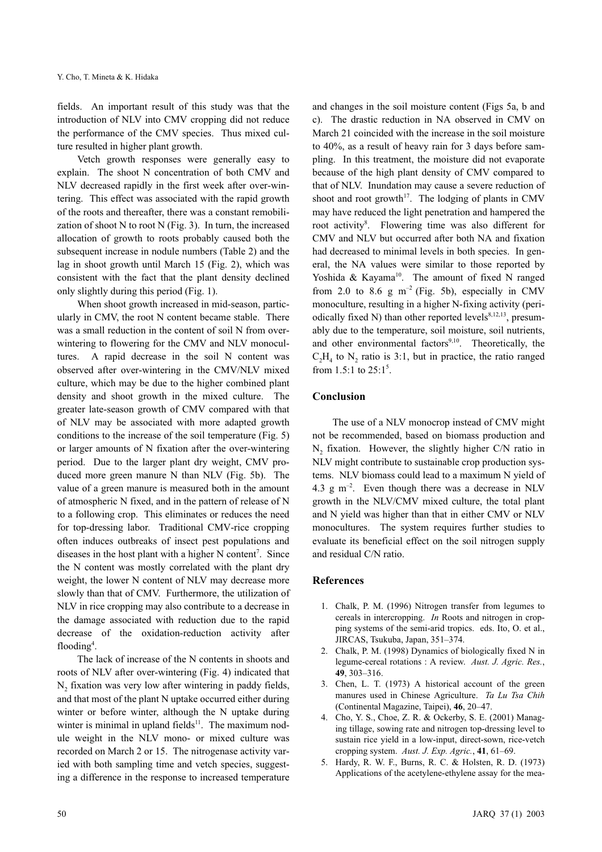fields. An important result of this study was that the introduction of NLV into CMV cropping did not reduce the performance of the CMV species. Thus mixed culture resulted in higher plant growth.

Vetch growth responses were generally easy to explain. The shoot N concentration of both CMV and NLV decreased rapidly in the first week after over-wintering. This effect was associated with the rapid growth of the roots and thereafter, there was a constant remobilization of shoot  $N$  to root  $N$  (Fig. 3). In turn, the increased allocation of growth to roots probably caused both the subsequent increase in nodule numbers (Table 2) and the lag in shoot growth until March 15 (Fig. 2), which was consistent with the fact that the plant density declined only slightly during this period (Fig. 1).

When shoot growth increased in mid-season, particularly in CMV, the root N content became stable. There was a small reduction in the content of soil N from overwintering to flowering for the CMV and NLV monocultures. A rapid decrease in the soil N content was observed after over-wintering in the CMV/NLV mixed culture, which may be due to the higher combined plant density and shoot growth in the mixed culture. The greater late-season growth of CMV compared with that of NLV may be associated with more adapted growth conditions to the increase of the soil temperature (Fig. 5) or larger amounts of N fixation after the over-wintering period. Due to the larger plant dry weight, CMV produced more green manure N than NLV (Fig. 5b). The value of a green manure is measured both in the amount of atmospheric N fixed, and in the pattern of release of N to a following crop. This eliminates or reduces the need for top-dressing labor. Traditional CMV-rice cropping often induces outbreaks of insect pest populations and diseases in the host plant with a higher N content<sup>7</sup>. Since the N content was mostly correlated with the plant dry weight, the lower N content of NLV may decrease more slowly than that of CMV. Furthermore, the utilization of NLV in rice cropping may also contribute to a decrease in the damage associated with reduction due to the rapid decrease of the oxidation-reduction activity after flooding<sup>4</sup>.

The lack of increase of the N contents in shoots and roots of NLV after over-wintering (Fig. 4) indicated that N<sub>2</sub> fixation was very low after wintering in paddy fields, and that most of the plant N uptake occurred either during winter or before winter, although the N uptake during winter is minimal in upland fields $11$ . The maximum nodule weight in the NLV mono- or mixed culture was recorded on March 2 or 15. The nitrogenase activity varied with both sampling time and vetch species, suggesting a difference in the response to increased temperature and changes in the soil moisture content (Figs 5a, b and c). The drastic reduction in NA observed in CMV on March 21 coincided with the increase in the soil moisture to 40%, as a result of heavy rain for 3 days before sampling. In this treatment, the moisture did not evaporate because of the high plant density of CMV compared to that of NLV. Inundation may cause a severe reduction of shoot and root growth<sup>17</sup>. The lodging of plants in CMV may have reduced the light penetration and hampered the root activity<sup>8</sup>. Flowering time was also different for CMV and NLV but occurred after both NA and fixation had decreased to minimal levels in both species. In general, the NA values were similar to those reported by Yoshida & Kayama<sup>10</sup>. The amount of fixed N ranged from 2.0 to 8.6 g  $m^{-2}$  (Fig. 5b), especially in CMV monoculture, resulting in a higher N-fixing activity (periodically fixed N) than other reported levels<sup>8,12,13</sup>, presumably due to the temperature, soil moisture, soil nutrients, and other environmental factors $9,10$ . Theoretically, the  $C_2H_4$  to N<sub>2</sub> ratio is 3:1, but in practice, the ratio ranged from 1.5:1 to  $25:1^5$ .

#### Conclusion

The use of a NLV monocrop instead of CMV might not be recommended, based on biomass production and  $N<sub>2</sub>$  fixation. However, the slightly higher C/N ratio in NLV might contribute to sustainable crop production systems. NLV biomass could lead to a maximum N yield of 4.3  $\text{g m}^{-2}$ . Even though there was a decrease in NLV growth in the NLV/CMV mixed culture, the total plant and N yield was higher than that in either CMV or NLV monocultures. The system requires further studies to evaluate its beneficial effect on the soil nitrogen supply and residual C/N ratio.

## References

- 1. Chalk, P. M. (1996) Nitrogen transfer from legumes to cereals in intercropping. In Roots and nitrogen in cropping systems of the semi-arid tropics. eds. Ito, O. et al., JIRCAS, Tsukuba, Japan, 351–374.
- 2. Chalk, P. M. (1998) Dynamics of biologically fixed N in legume-cereal rotations : A review. Aust. J. Agric. Res., 49, 303–316.
- 3. Chen, L. T. (1973) A historical account of the green manures used in Chinese Agriculture. Ta Lu Tsa Chih (Continental Magazine, Taipei), 46, 20–47.
- 4. Cho, Y. S., Choe, Z. R. & Ockerby, S. E. (2001) Managing tillage, sowing rate and nitrogen top-dressing level to sustain rice yield in a low-input, direct-sown, rice-vetch cropping system. Aust. J. Exp. Agric., 41, 61–69.
- 5. Hardy, R. W. F., Burns, R. C. & Holsten, R. D. (1973) Applications of the acetylene-ethylene assay for the mea-